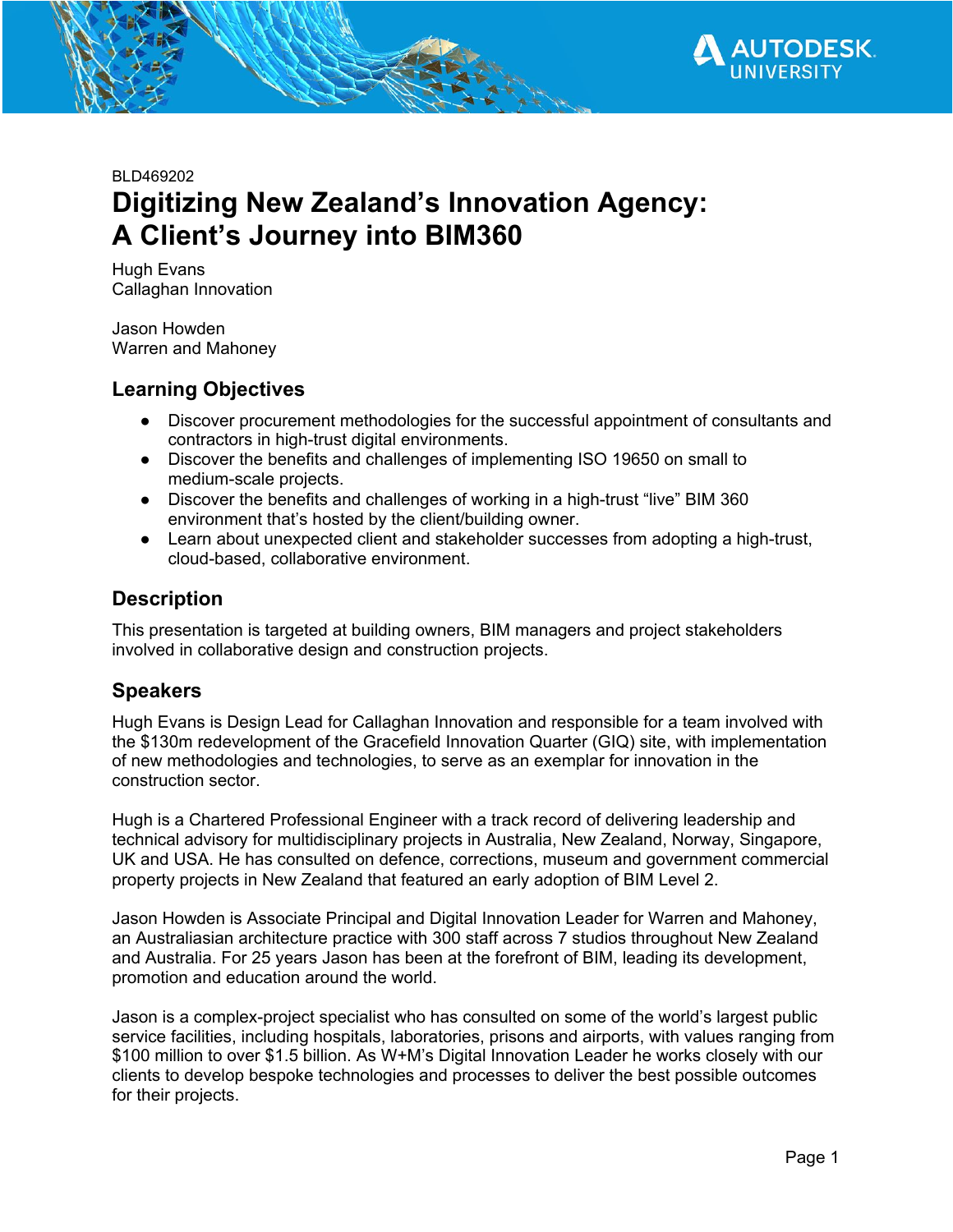

BLD469202

# **Digitizing New Zealand's Innovation Agency: A Client's Journey into BIM360**

Hugh Evans Callaghan Innovation

Jason Howden Warren and Mahoney

### **Learning Objectives**

- Discover procurement methodologies for the successful appointment of consultants and contractors in high-trust digital environments.
- Discover the benefits and challenges of implementing ISO 19650 on small to medium-scale projects.
- Discover the benefits and challenges of working in a high-trust "live" BIM 360 environment that's hosted by the client/building owner.
- Learn about unexpected client and stakeholder successes from adopting a high-trust, cloud-based, collaborative environment.

### **Description**

This presentation is targeted at building owners, BIM managers and project stakeholders involved in collaborative design and construction projects.

### **Speakers**

Hugh Evans is Design Lead for Callaghan Innovation and responsible for a team involved with the \$130m redevelopment of the Gracefield Innovation Quarter (GIQ) site, with implementation of new methodologies and technologies, to serve as an exemplar for innovation in the construction sector.

Hugh is a Chartered Professional Engineer with a track record of delivering leadership and technical advisory for multidisciplinary projects in Australia, New Zealand, Norway, Singapore, UK and USA. He has consulted on defence, corrections, museum and government commercial property projects in New Zealand that featured an early adoption of BIM Level 2.

Jason Howden is Associate Principal and Digital Innovation Leader for Warren and Mahoney, an Australiasian architecture practice with 300 staff across 7 studios throughout New Zealand and Australia. For 25 years Jason has been at the forefront of BIM, leading its development, promotion and education around the world.

Jason is a complex-project specialist who has consulted on some of the world's largest public service facilities, including hospitals, laboratories, prisons and airports, with values ranging from \$100 million to over \$1.5 billion. As W+M's Digital Innovation Leader he works closely with our clients to develop bespoke technologies and processes to deliver the best possible outcomes for their projects.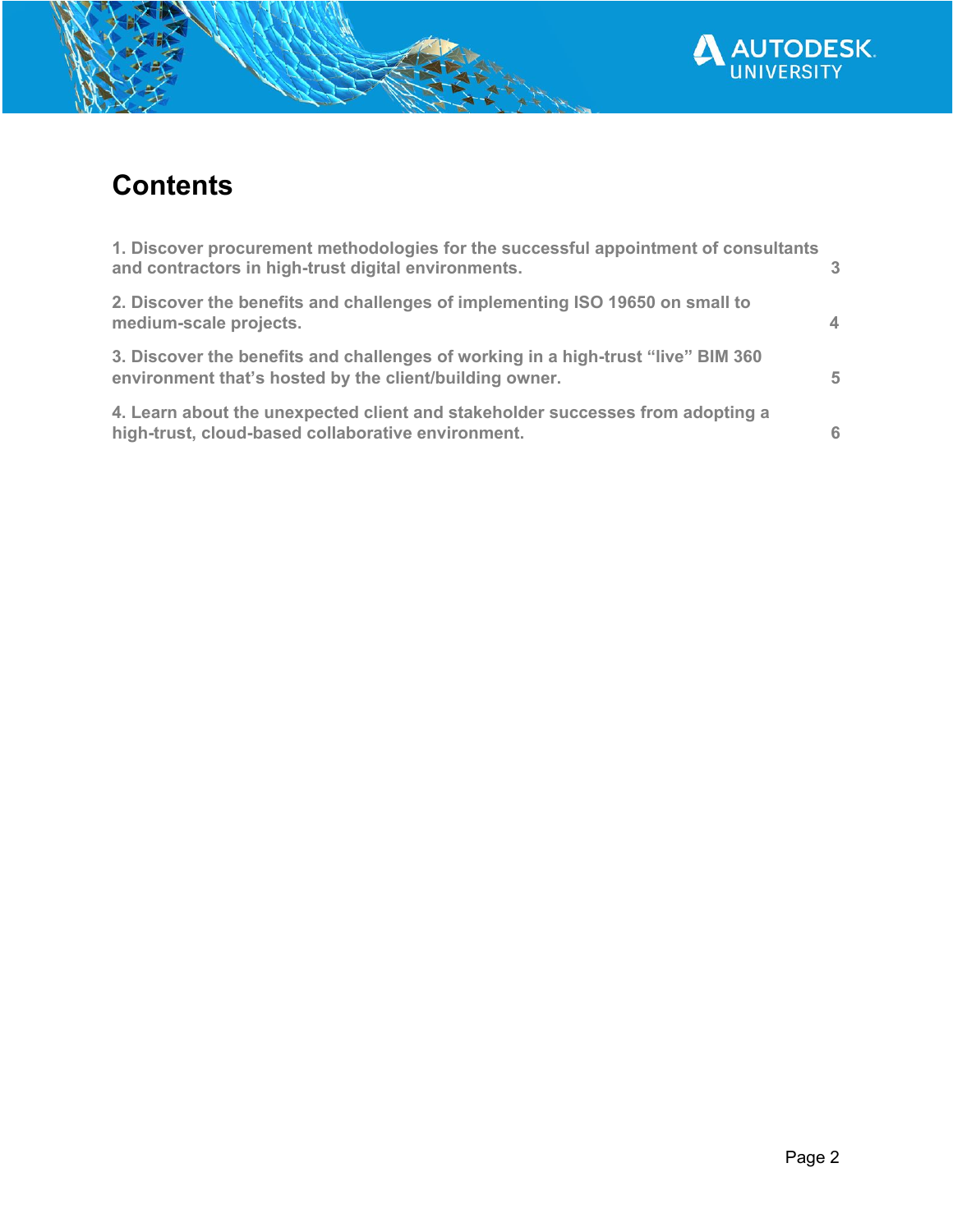

# **Contents**

| 1. Discover procurement methodologies for the successful appointment of consultants<br>and contractors in high-trust digital environments.   | $\mathcal{R}$  |
|----------------------------------------------------------------------------------------------------------------------------------------------|----------------|
| 2. Discover the benefits and challenges of implementing ISO 19650 on small to<br>medium-scale projects.                                      | $\overline{4}$ |
| 3. Discover the benefits and challenges of working in a high-trust "live" BIM 360<br>environment that's hosted by the client/building owner. | 5              |
| 4. Learn about the unexpected client and stakeholder successes from adopting a<br>high-trust, cloud-based collaborative environment.         | 6              |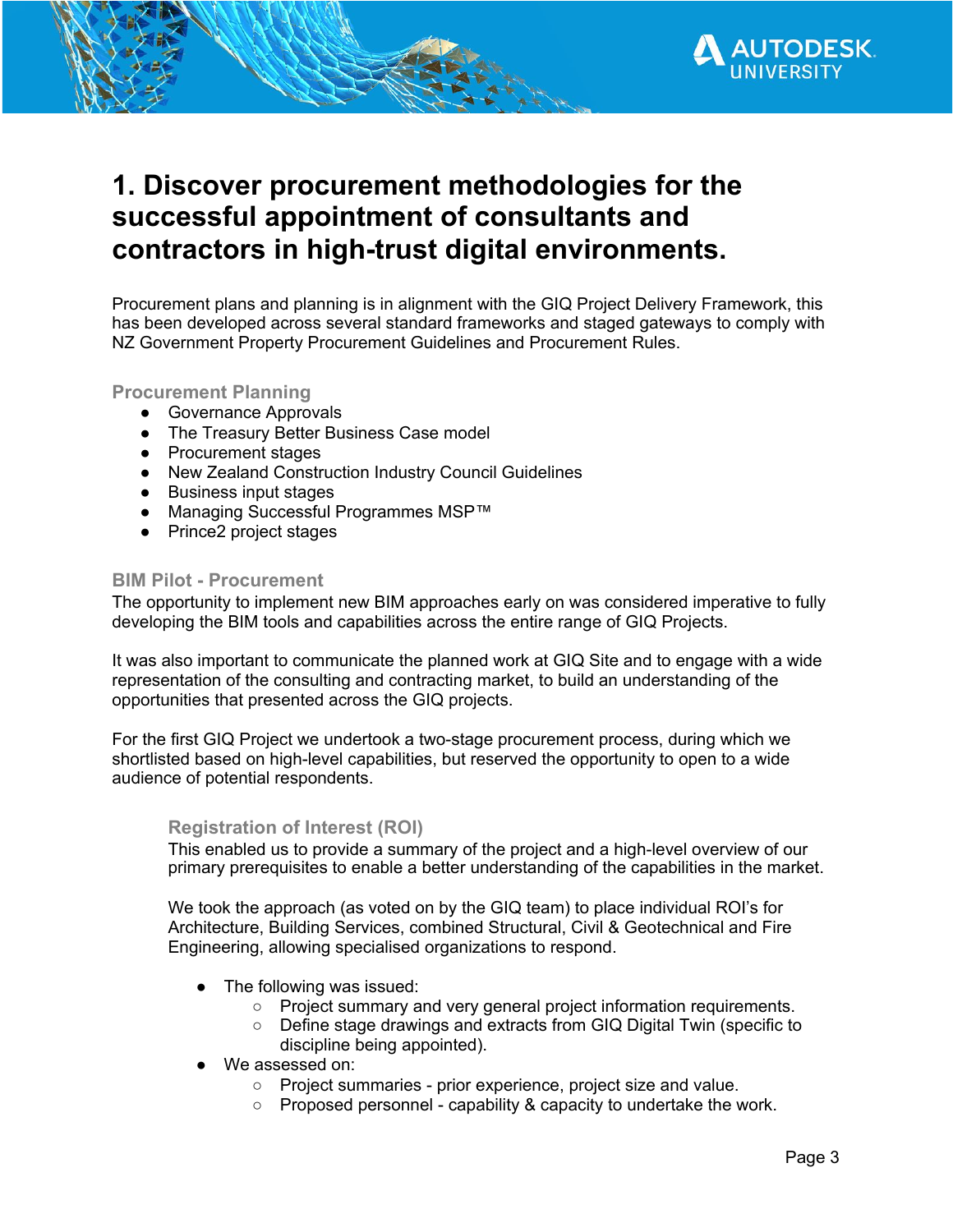## <span id="page-2-0"></span>**1. Discover procurement methodologies for the successful appointment of consultants and contractors in high-trust digital environments.**

Procurement plans and planning is in alignment with the GIQ Project Delivery Framework, this has been developed across several standard frameworks and staged gateways to comply with NZ Government Property Procurement Guidelines and Procurement Rules.

#### **Procurement Planning**

- Governance Approvals
- The Treasury Better Business Case model
- Procurement stages
- New Zealand Construction Industry Council Guidelines
- Business input stages
- Managing Successful Programmes MSP™
- Prince2 project stages

#### **BIM Pilot - Procurement**

The opportunity to implement new BIM approaches early on was considered imperative to fully developing the BIM tools and capabilities across the entire range of GIQ Projects.

It was also important to communicate the planned work at GIQ Site and to engage with a wide representation of the consulting and contracting market, to build an understanding of the opportunities that presented across the GIQ projects.

For the first GIQ Project we undertook a two-stage procurement process, during which we shortlisted based on high-level capabilities, but reserved the opportunity to open to a wide audience of potential respondents.

#### **Registration of Interest (ROI)**

This enabled us to provide a summary of the project and a high-level overview of our primary prerequisites to enable a better understanding of the capabilities in the market.

We took the approach (as voted on by the GIQ team) to place individual ROI's for Architecture, Building Services, combined Structural, Civil & Geotechnical and Fire Engineering, allowing specialised organizations to respond.

- The following was issued:
	- Project summary and very general project information requirements.
	- Define stage drawings and extracts from GIQ Digital Twin (specific to discipline being appointed).
- We assessed on:
	- Project summaries prior experience, project size and value.
	- Proposed personnel capability & capacity to undertake the work.

**TODESK**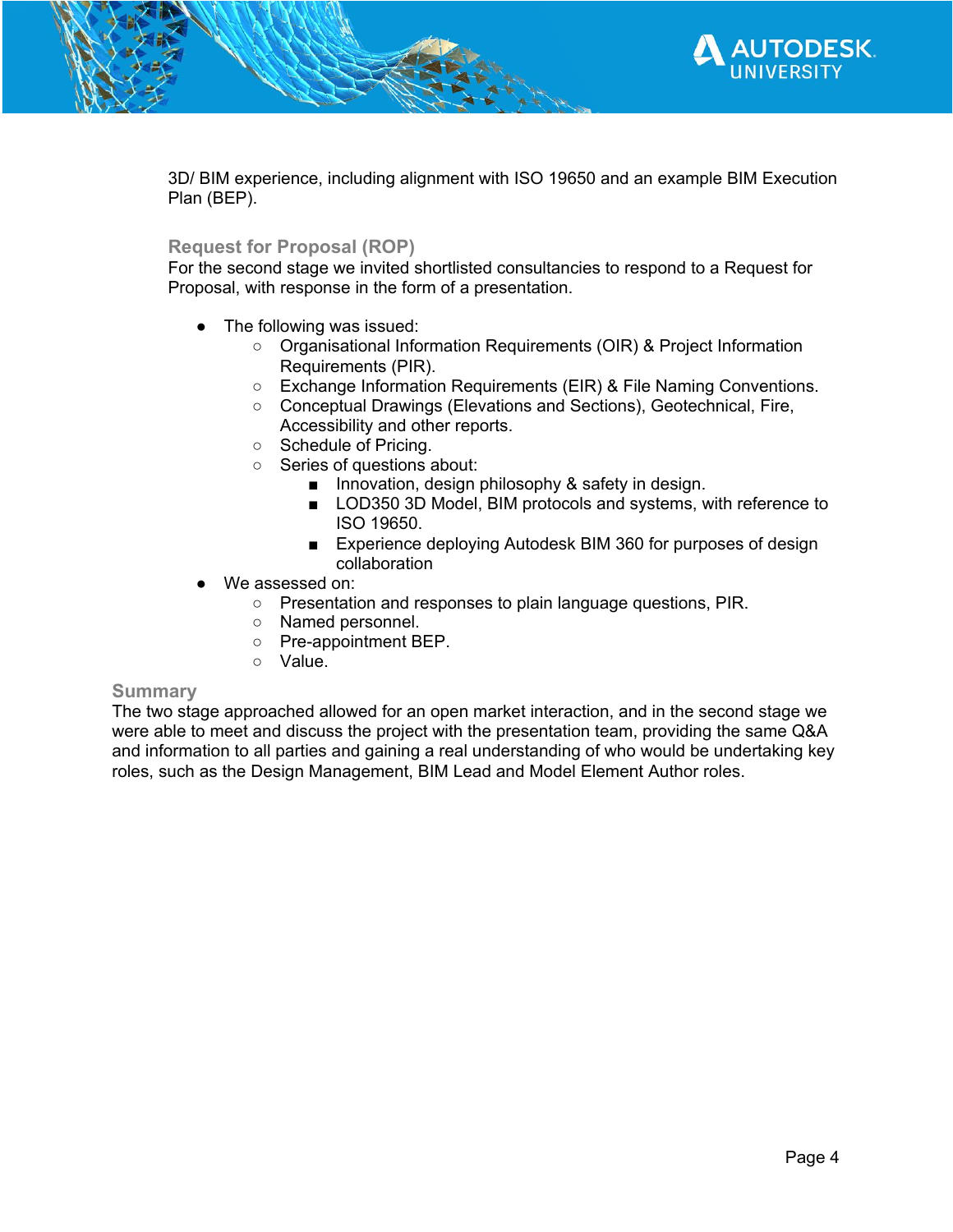

3D/ BIM experience, including alignment with ISO 19650 and an example BIM Execution Plan (BEP).

#### **Request for Proposal (ROP)**

For the second stage we invited shortlisted consultancies to respond to a Request for Proposal, with response in the form of a presentation.

- The following was issued:
	- Organisational Information Requirements (OIR) & Project Information Requirements (PIR).
	- Exchange Information Requirements (EIR) & File Naming Conventions.
	- Conceptual Drawings (Elevations and Sections), Geotechnical, Fire, Accessibility and other reports.
	- Schedule of Pricing.
	- Series of questions about:
		- Innovation, design philosophy & safety in design.
		- LOD350 3D Model, BIM protocols and systems, with reference to ISO 19650.
		- Experience deploying Autodesk BIM 360 for purposes of design collaboration
- We assessed on:
	- Presentation and responses to plain language questions, PIR.
	- Named personnel.
	- Pre-appointment BEP.
	- Value.

#### **Summary**

<span id="page-3-0"></span>The two stage approached allowed for an open market interaction, and in the second stage we were able to meet and discuss the project with the presentation team, providing the same Q&A and information to all parties and gaining a real understanding of who would be undertaking key roles, such as the Design Management, BIM Lead and Model Element Author roles.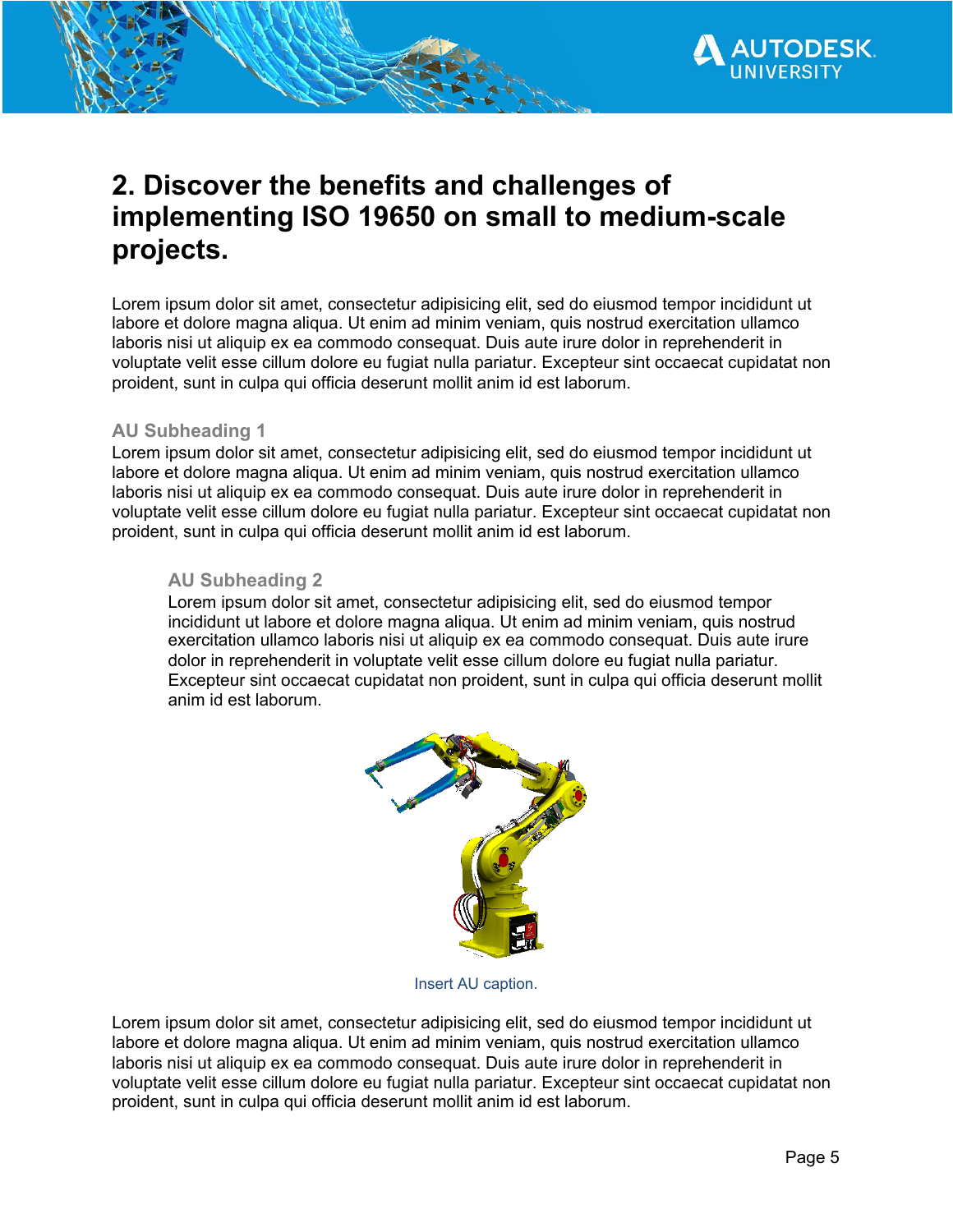

## **2. Discover the benefits and challenges of implementing ISO 19650 on small to medium-scale projects.**

Lorem ipsum dolor sit amet, consectetur adipisicing elit, sed do eiusmod tempor incididunt ut labore et dolore magna aliqua. Ut enim ad minim veniam, quis nostrud exercitation ullamco laboris nisi ut aliquip ex ea commodo consequat. Duis aute irure dolor in reprehenderit in voluptate velit esse cillum dolore eu fugiat nulla pariatur. Excepteur sint occaecat cupidatat non proident, sunt in culpa qui officia deserunt mollit anim id est laborum.

#### **AU Subheading 1**

Lorem ipsum dolor sit amet, consectetur adipisicing elit, sed do eiusmod tempor incididunt ut labore et dolore magna aliqua. Ut enim ad minim veniam, quis nostrud exercitation ullamco laboris nisi ut aliquip ex ea commodo consequat. Duis aute irure dolor in reprehenderit in voluptate velit esse cillum dolore eu fugiat nulla pariatur. Excepteur sint occaecat cupidatat non proident, sunt in culpa qui officia deserunt mollit anim id est laborum.

#### **AU Subheading 2**

Lorem ipsum dolor sit amet, consectetur adipisicing elit, sed do eiusmod tempor incididunt ut labore et dolore magna aliqua. Ut enim ad minim veniam, quis nostrud exercitation ullamco laboris nisi ut aliquip ex ea commodo consequat. Duis aute irure dolor in reprehenderit in voluptate velit esse cillum dolore eu fugiat nulla pariatur. Excepteur sint occaecat cupidatat non proident, sunt in culpa qui officia deserunt mollit anim id est laborum.



Insert AU caption.

Lorem ipsum dolor sit amet, consectetur adipisicing elit, sed do eiusmod tempor incididunt ut labore et dolore magna aliqua. Ut enim ad minim veniam, quis nostrud exercitation ullamco laboris nisi ut aliquip ex ea commodo consequat. Duis aute irure dolor in reprehenderit in voluptate velit esse cillum dolore eu fugiat nulla pariatur. Excepteur sint occaecat cupidatat non proident, sunt in culpa qui officia deserunt mollit anim id est laborum.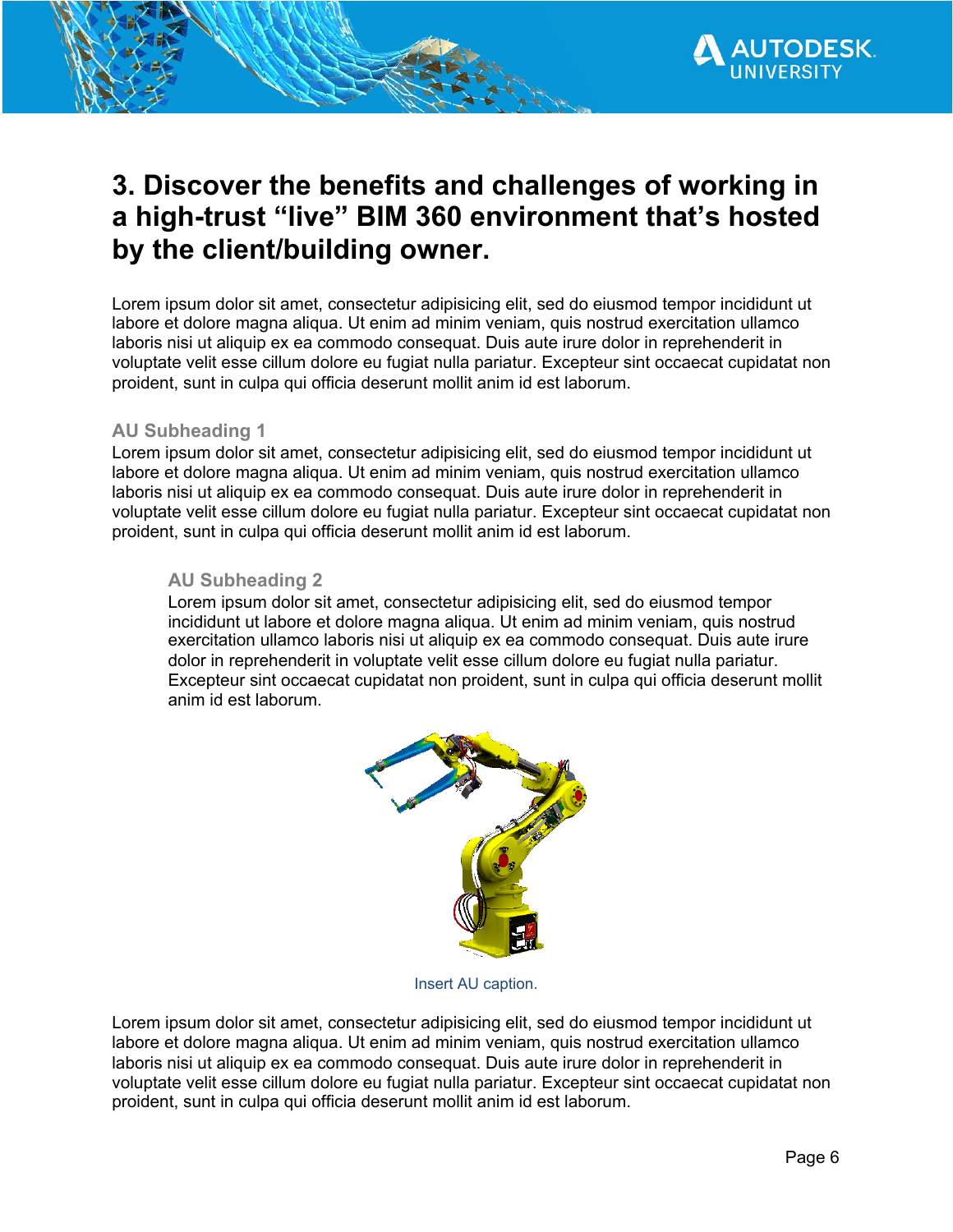

## <span id="page-5-0"></span>**3. Discover the benefits and challenges of working in a high-trust "live" BIM 360 environment that's hosted by the client/building owner.**

Lorem ipsum dolor sit amet, consectetur adipisicing elit, sed do eiusmod tempor incididunt ut labore et dolore magna aliqua. Ut enim ad minim veniam, quis nostrud exercitation ullamco laboris nisi ut aliquip ex ea commodo consequat. Duis aute irure dolor in reprehenderit in voluptate velit esse cillum dolore eu fugiat nulla pariatur. Excepteur sint occaecat cupidatat non proident, sunt in culpa qui officia deserunt mollit anim id est laborum.

#### **AU Subheading 1**

Lorem ipsum dolor sit amet, consectetur adipisicing elit, sed do eiusmod tempor incididunt ut labore et dolore magna aliqua. Ut enim ad minim veniam, quis nostrud exercitation ullamco laboris nisi ut aliquip ex ea commodo consequat. Duis aute irure dolor in reprehenderit in voluptate velit esse cillum dolore eu fugiat nulla pariatur. Excepteur sint occaecat cupidatat non proident, sunt in culpa qui officia deserunt mollit anim id est laborum.

#### **AU Subheading 2**

Lorem ipsum dolor sit amet, consectetur adipisicing elit, sed do eiusmod tempor incididunt ut labore et dolore magna aliqua. Ut enim ad minim veniam, quis nostrud exercitation ullamco laboris nisi ut aliquip ex ea commodo consequat. Duis aute irure dolor in reprehenderit in voluptate velit esse cillum dolore eu fugiat nulla pariatur. Excepteur sint occaecat cupidatat non proident, sunt in culpa qui officia deserunt mollit anim id est laborum.



Insert AU caption.

Lorem ipsum dolor sit amet, consectetur adipisicing elit, sed do eiusmod tempor incididunt ut labore et dolore magna aliqua. Ut enim ad minim veniam, quis nostrud exercitation ullamco laboris nisi ut aliquip ex ea commodo consequat. Duis aute irure dolor in reprehenderit in voluptate velit esse cillum dolore eu fugiat nulla pariatur. Excepteur sint occaecat cupidatat non proident, sunt in culpa qui officia deserunt mollit anim id est laborum.